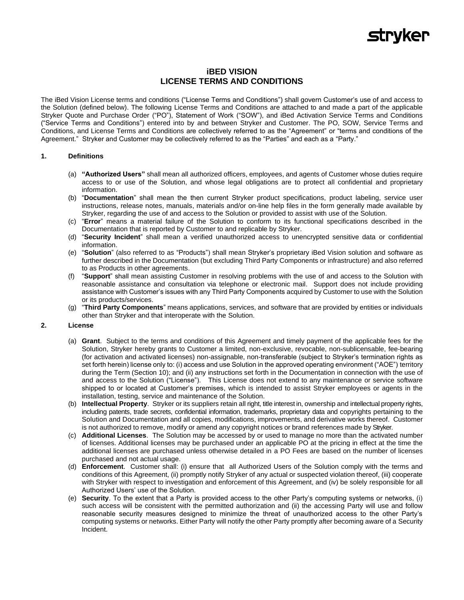## **stryker**

### **iBED VISION LICENSE TERMS AND CONDITIONS**

The iBed Vision License terms and conditions ("License Terms and Conditions") shall govern Customer's use of and access to the Solution (defined below). The following License Terms and Conditions are attached to and made a part of the applicable Stryker Quote and Purchase Order ("PO"), Statement of Work ("SOW"), and iBed Activation Service Terms and Conditions ("Service Terms and Conditions") entered into by and between Stryker and Customer. The PO, SOW, Service Terms and Conditions, and License Terms and Conditions are collectively referred to as the "Agreement" or "terms and conditions of the Agreement." Stryker and Customer may be collectively referred to as the "Parties" and each as a "Party."

#### **1. Definitions**

- (a) **"Authorized Users"** shall mean all authorized officers, employees, and agents of Customer whose duties require access to or use of the Solution, and whose legal obligations are to protect all confidential and proprietary information.
- (b) "**Documentation**" shall mean the then current Stryker product specifications, product labeling, service user instructions, release notes, manuals, materials and/or on-line help files in the form generally made available by Stryker, regarding the use of and access to the Solution or provided to assist with use of the Solution.
- (c) "**Error**" means a material failure of the Solution to conform to its functional specifications described in the Documentation that is reported by Customer to and replicable by Stryker.
- (d) "**Security Incident**" shall mean a verified unauthorized access to unencrypted sensitive data or confidential information.
- (e) "**Solution**" (also referred to as "Products") shall mean Stryker's proprietary iBed Vision solution and software as further described in the Documentation (but excluding Third Party Components or infrastructure) and also referred to as Products in other agreements.
- (f) "**Support**" shall mean assisting Customer in resolving problems with the use of and access to the Solution with reasonable assistance and consultation via telephone or electronic mail. Support does not include providing assistance with Customer's issues with any Third Party Components acquired by Customer to use with the Solution or its products/services.
- (g) "**Third Party Components**" means applications, services, and software that are provided by entities or individuals other than Stryker and that interoperate with the Solution.

#### **2. License**

- (a) **Grant**. Subject to the terms and conditions of this Agreement and timely payment of the applicable fees for the Solution, Stryker hereby grants to Customer a limited, non-exclusive, revocable, non-sublicensable, fee-bearing (for activation and activated licenses) non-assignable, non-transferable (subject to Stryker's termination rights as set forth herein) license only to: (i) access and use Solution in the approved operating environment ("AOE") territory during the Term (Section 10); and (ii) any instructions set forth in the Documentation in connection with the use of and access to the Solution ("License"). This License does not extend to any maintenance or service software shipped to or located at Customer's premises, which is intended to assist Stryker employees or agents in the installation, testing, service and maintenance of the Solution.
- (b) **Intellectual Property**. Stryker or its suppliers retain all right, title interest in, ownership and intellectual property rights, including patents, trade secrets, confidential information, trademarks, proprietary data and copyrights pertaining to the Solution and Documentation and all copies, modifications, improvements, and derivative works thereof. Customer is not authorized to remove, modify or amend any copyright notices or brand references made by Stryker.
- (c) **Additional Licenses**. The Solution may be accessed by or used to manage no more than the activated number of licenses. Additional licenses may be purchased under an applicable PO at the pricing in effect at the time the additional licenses are purchased unless otherwise detailed in a PO Fees are based on the number of licenses purchased and not actual usage.
- (d) **Enforcement**. Customer shall: (i) ensure that all Authorized Users of the Solution comply with the terms and conditions of this Agreement, (ii) promptly notify Stryker of any actual or suspected violation thereof, (iii) cooperate with Stryker with respect to investigation and enforcement of this Agreement, and (iv) be solely responsible for all Authorized Users' use of the Solution.
- (e) **Security**. To the extent that a Party is provided access to the other Party's computing systems or networks, (i) such access will be consistent with the permitted authorization and (ii) the accessing Party will use and follow reasonable security measures designed to minimize the threat of unauthorized access to the other Party's computing systems or networks. Either Party will notify the other Party promptly after becoming aware of a Security Incident.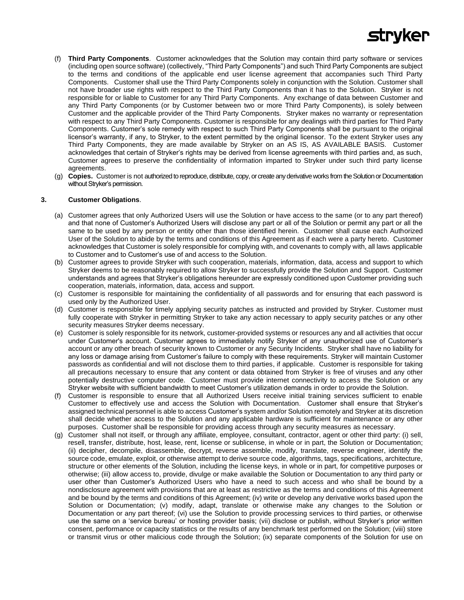

- (f) **Third Party Components**. Customer acknowledges that the Solution may contain third party software or services (including open source software) (collectively, "Third Party Components") and such Third Party Components are subject to the terms and conditions of the applicable end user license agreement that accompanies such Third Party Components. Customer shall use the Third Party Components solely in conjunction with the Solution. Customer shall not have broader use rights with respect to the Third Party Components than it has to the Solution. Stryker is not responsible for or liable to Customer for any Third Party Components. Any exchange of data between Customer and any Third Party Components (or by Customer between two or more Third Party Components), is solely between Customer and the applicable provider of the Third Party Components. Stryker makes no warranty or representation with respect to any Third Party Components. Customer is responsible for any dealings with third parties for Third Party Components. Customer's sole remedy with respect to such Third Party Components shall be pursuant to the original licensor's warranty, if any, to Stryker, to the extent permitted by the original licensor. To the extent Stryker uses any Third Party Components, they are made available by Stryker on an AS IS, AS AVAILABLE BASIS. Customer acknowledges that certain of Stryker's rights may be derived from license agreements with third parties and, as such, Customer agrees to preserve the confidentiality of information imparted to Stryker under such third party license agreements.
- (g) **Copies.** Customer is not authorized to reproduce, distribute, copy, or create any derivative works from the Solution or Documentation without Stryker's permission.

#### **3. Customer Obligations**.

- (a) Customer agrees that only Authorized Users will use the Solution or have access to the same (or to any part thereof) and that none of Customer's Authorized Users will disclose any part or all of the Solution or permit any part or all the same to be used by any person or entity other than those identified herein. Customer shall cause each Authorized User of the Solution to abide by the terms and conditions of this Agreement as if each were a party hereto. Customer acknowledges that Customer is solely responsible for complying with, and covenants to comply with, all laws applicable to Customer and to Customer's use of and access to the Solution.
- (b) Customer agrees to provide Stryker with such cooperation, materials, information, data, access and support to which Stryker deems to be reasonably required to allow Stryker to successfully provide the Solution and Support. Customer understands and agrees that Stryker's obligations hereunder are expressly conditioned upon Customer providing such cooperation, materials, information, data, access and support.
- (c) Customer is responsible for maintaining the confidentiality of all passwords and for ensuring that each password is used only by the Authorized User.
- (d) Customer is responsible for timely applying security patches as instructed and provided by Stryker. Customer must fully cooperate with Stryker in permitting Stryker to take any action necessary to apply security patches or any other security measures Stryker deems necessary.
- (e) Customer is solely responsible for its network, customer-provided systems or resources any and all activities that occur under Customer's account. Customer agrees to immediately notify Stryker of any unauthorized use of Customer's account or any other breach of security known to Customer or any Security Incidents. Stryker shall have no liability for any loss or damage arising from Customer's failure to comply with these requirements. Stryker will maintain Customer passwords as confidential and will not disclose them to third parties, if applicable. Customer is responsible for taking all precautions necessary to ensure that any content or data obtained from Stryker is free of viruses and any other potentially destructive computer code. Customer must provide internet connectivity to access the Solution or any Stryker website with sufficient bandwidth to meet Customer's utilization demands in order to provide the Solution.
- (f) Customer is responsible to ensure that all Authorized Users receive initial training services sufficient to enable Customer to effectively use and access the Solution with Documentation. Customer shall ensure that Stryker's assigned technical personnel is able to access Customer's system and/or Solution remotely and Stryker at its discretion shall decide whether access to the Solution and any applicable hardware is sufficient for maintenance or any other purposes. Customer shall be responsible for providing access through any security measures as necessary.
- (g) Customer shall not itself, or through any affiliate, employee, consultant, contractor, agent or other third party: (i) sell, resell, transfer, distribute, host, lease, rent, license or sublicense, in whole or in part, the Solution or Documentation; (ii) decipher, decompile, disassemble, decrypt, reverse assemble, modify, translate, reverse engineer, identify the source code, emulate, exploit, or otherwise attempt to derive source code, algorithms, tags, specifications, architecture, structure or other elements of the Solution, including the license keys, in whole or in part, for competitive purposes or otherwise; (iii) allow access to, provide, divulge or make available the Solution or Documentation to any third party or user other than Customer's Authorized Users who have a need to such access and who shall be bound by a nondisclosure agreement with provisions that are at least as restrictive as the terms and conditions of this Agreement and be bound by the terms and conditions of this Agreement; (iv) write or develop any derivative works based upon the Solution or Documentation; (v) modify, adapt, translate or otherwise make any changes to the Solution or Documentation or any part thereof; (vi) use the Solution to provide processing services to third parties, or otherwise use the same on a 'service bureau' or hosting provider basis; (vii) disclose or publish, without Stryker's prior written consent, performance or capacity statistics or the results of any benchmark test performed on the Solution; (viii) store or transmit virus or other malicious code through the Solution; (ix) separate components of the Solution for use on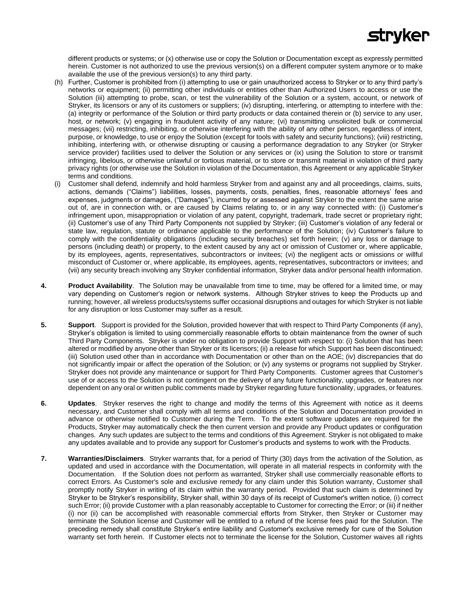# **stryker**

different products or systems; or (x) otherwise use or copy the Solution or Documentation except as expressly permitted herein. Customer is not authorized to use the previous version(s) on a different computer system anymore or to make available the use of the previous version(s) to any third party.

- (h) Further, Customer is prohibited from (i) attempting to use or gain unauthorized access to Stryker or to any third party's networks or equipment; (ii) permitting other individuals or entities other than Authorized Users to access or use the Solution (iii) attempting to probe, scan, or test the vulnerability of the Solution or a system, account, or network of Stryker, its licensors or any of its customers or suppliers; (iv) disrupting, interfering, or attempting to interfere with the: (a) integrity or performance of the Solution or third party products or data contained therein or (b) service to any user, host, or network; (v) engaging in fraudulent activity of any nature; (vi) transmitting unsolicited bulk or commercial messages; (vii) restricting, inhibiting, or otherwise interfering with the ability of any other person, regardless of intent, purpose, or knowledge, to use or enjoy the Solution (except for tools with safety and security functions); (viii) restricting, inhibiting, interfering with, or otherwise disrupting or causing a performance degradation to any Stryker (or Stryker service provider) facilities used to deliver the Solution or any services or (ix) using the Solution to store or transmit infringing, libelous, or otherwise unlawful or tortious material, or to store or transmit material in violation of third party privacy rights (or otherwise use the Solution in violation of the Documentation, this Agreement or any applicable Stryker terms and conditions.
- (i) Customer shall defend, indemnify and hold harmless Stryker from and against any and all proceedings, claims, suits, actions, demands ("Claims") liabilities, losses, payments, costs, penalties, fines, reasonable attorneys' fees and expenses, judgments or damages, ("Damages"), incurred by or assessed against Stryker to the extent the same arise out of, are in connection with, or are caused by Claims relating to, or in any way connected with: (i) Customer's infringement upon, misappropriation or violation of any patent, copyright, trademark, trade secret or proprietary right; (ii) Customer's use of any Third Party Components not supplied by Stryker; (iii) Customer's violation of any federal or state law, regulation, statute or ordinance applicable to the performance of the Solution; (iv) Customer's failure to comply with the confidentiality obligations (including security breaches) set forth herein; (v) any loss or damage to persons (including death) or property, to the extent caused by any act or omission of Customer or, where applicable, by its employees, agents, representatives, subcontractors or invitees; (vi) the negligent acts or omissions or willful misconduct of Customer or, where applicable, its employees, agents, representatives, subcontractors or invitees; and (vii) any security breach involving any Stryker confidential information, Stryker data and/or personal health information.
- **4. Product Availability**. The Solution may be unavailable from time to time, may be offered for a limited time, or may vary depending on Customer's region or network systems. Although Stryker strives to keep the Products up and running; however, all wireless products/systems suffer occasional disruptions and outages for which Stryker is not liable for any disruption or loss Customer may suffer as a result.
- **5. Support**.Support is provided for the Solution, provided however that with respect to Third Party Components (if any), Stryker's obligation is limited to using commercially reasonable efforts to obtain maintenance from the owner of such Third Party Components. Stryker is under no obligation to provide Support with respect to: (i) Solution that has been altered or modified by anyone other than Stryker or its licensors; (ii) a release for which Support has been discontinued; (iii) Solution used other than in accordance with Documentation or other than on the AOE; (iv) discrepancies that do not significantly impair or affect the operation of the Solution; or (v) any systems or programs not supplied by Stryker. Stryker does not provide any maintenance or support for Third Party Components. Customer agrees that Customer's use of or access to the Solution is not contingent on the delivery of any future functionality, upgrades, or features nor dependent on any oral or written public comments made by Stryker regarding future functionality, upgrades, or features.
- **6. Updates**. Stryker reserves the right to change and modify the terms of this Agreement with notice as it deems necessary, and Customer shall comply with all terms and conditions of the Solution and Documentation provided in advance or otherwise notified to Customer during the Term. To the extent software updates are required for the Products, Stryker may automatically check the then current version and provide any Product updates or configuration changes. Any such updates are subject to the terms and conditions of this Agreement. Stryker is not obligated to make any updates available and to provide any support for Customer's products and systems to work with the Products.
- **7. Warranties/Disclaimers**.Stryker warrants that, for a period of Thirty (30) days from the activation of the Solution, as updated and used in accordance with the Documentation, will operate in all material respects in conformity with the Documentation. If the Solution does not perform as warranted, Stryker shall use commercially reasonable efforts to correct Errors. As Customer's sole and exclusive remedy for any claim under this Solution warranty, Customer shall promptly notify Stryker in writing of its claim within the warranty period. Provided that such claim is determined by Stryker to be Stryker's responsibility, Stryker shall, within 30 days of its receipt of Customer's written notice, (i) correct such Error; (ii) provide Customer with a plan reasonably acceptable to Customer for correcting the Error; or (iii) if neither (i) nor (ii) can be accomplished with reasonable commercial efforts from Stryker, then Stryker or Customer may terminate the Solution license and Customer will be entitled to a refund of the license fees paid for the Solution. The preceding remedy shall constitute Stryker's entire liability and Customer's exclusive remedy for cure of the Solution warranty set forth herein. If Customer elects not to terminate the license for the Solution, Customer waives all rights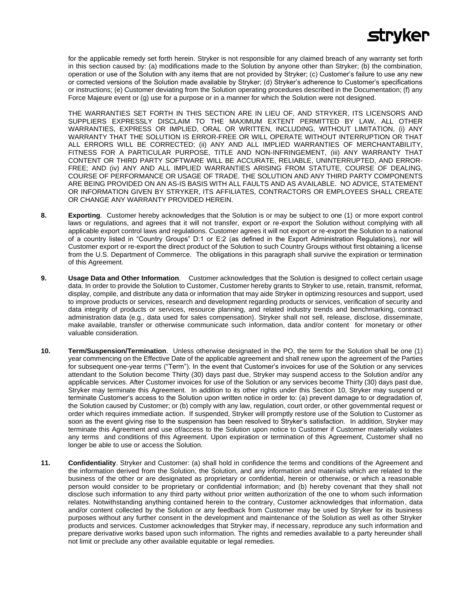

for the applicable remedy set forth herein. Stryker is not responsible for any claimed breach of any warranty set forth in this section caused by: (a) modifications made to the Solution by anyone other than Stryker; (b) the combination, operation or use of the Solution with any items that are not provided by Stryker; (c) Customer's failure to use any new or corrected versions of the Solution made available by Stryker; (d) Stryker's adherence to Customer's specifications or instructions; (e) Customer deviating from the Solution operating procedures described in the Documentation; (f) any Force Majeure event or (g) use for a purpose or in a manner for which the Solution were not designed.

THE WARRANTIES SET FORTH IN THIS SECTION ARE IN LIEU OF, AND STRYKER, ITS LICENSORS AND SUPPLIERS EXPRESSLY DISCLAIM TO THE MAXIMUM EXTENT PERMITTED BY LAW, ALL OTHER WARRANTIES, EXPRESS OR IMPLIED, ORAL OR WRITTEN, INCLUDING, WITHOUT LIMITATION, (i) ANY WARRANTY THAT THE SOLUTION IS ERROR-FREE OR WILL OPERATE WITHOUT INTERRUPTION OR THAT ALL ERRORS WILL BE CORRECTED; (ii) ANY AND ALL IMPLIED WARRANTIES OF MERCHANTABILITY, FITNESS FOR A PARTICULAR PURPOSE, TITLE AND NON-INFRINGEMENT, (iii) ANY WARRANTY THAT CONTENT OR THIRD PARTY SOFTWARE WILL BE ACCURATE, RELIABLE, UNINTERRUPTED, AND ERROR-FREE; AND (iv) ANY AND ALL IMPLIED WARRANTIES ARISING FROM STATUTE, COURSE OF DEALING, COURSE OF PERFORMANCE OR USAGE OF TRADE. THE SOLUTION AND ANY THIRD PARTY COMPONENTS ARE BEING PROVIDED ON AN AS-IS BASIS WITH ALL FAULTS AND AS AVAILABLE. NO ADVICE, STATEMENT OR INFORMATION GIVEN BY STRYKER, ITS AFFILIATES, CONTRACTORS OR EMPLOYEES SHALL CREATE OR CHANGE ANY WARRANTY PROVIDED HEREIN.

- **8. Exporting**. Customer hereby acknowledges that the Solution is or may be subject to one (1) or more export control laws or regulations, and agrees that it will not transfer, export or re-export the Solution without complying with all applicable export control laws and regulations. Customer agrees it will not export or re-export the Solution to a national of a country listed in "Country Groups" D:1 or E:2 (as defined in the Export Administration Regulations), nor will Customer export or re-export the direct product of the Solution to such Country Groups without first obtaining a license from the U.S. Department of Commerce. The obligations in this paragraph shall survive the expiration or termination of this Agreement.
- **9. Usage Data and Other Information**. Customer acknowledges that the Solution is designed to collect certain usage data. In order to provide the Solution to Customer, Customer hereby grants to Stryker to use, retain, transmit, reformat, display, compile, and distribute any data or information that may aide Stryker in optimizing resources and support, used to improve products or services, research and development regarding products or services, verification of security and data integrity of products or services, resource planning, and related industry trends and benchmarking, contract administration data (e.g., data used for sales compensation). Stryker shall not sell, release, disclose, disseminate, make available, transfer or otherwise communicate such information, data and/or content for monetary or other valuable consideration.
- **10. Term/Suspension/Termination**.Unless otherwise designated in the PO, the term for the Solution shall be one (1) year commencing on the Effective Date of the applicable agreement and shall renew upon the agreement of the Parties for subsequent one-year terms ("Term"). In the event that Customer's invoices for use of the Solution or any services attendant to the Solution become Thirty (30) days past due, Stryker may suspend access to the Solution and/or any applicable services. After Customer invoices for use of the Solution or any services become Thirty (30) days past due, Stryker may terminate this Agreement. In addition to its other rights under this Section 10, Stryker may suspend or terminate Customer's access to the Solution upon written notice in order to: (a) prevent damage to or degradation of, the Solution caused by Customer; or (b) comply with any law, regulation, court order, or other governmental request or order which requires immediate action. If suspended, Stryker will promptly restore use of the Solution to Customer as soon as the event giving rise to the suspension has been resolved to Stryker's satisfaction. In addition, Stryker may terminate this Agreement and use of/access to the Solution upon notice to Customer if Customer materially violates any terms and conditions of this Agreement. Upon expiration or termination of this Agreement, Customer shall no longer be able to use or access the Solution.
- **11. Confidentiality**. Stryker and Customer: (a) shall hold in confidence the terms and conditions of the Agreement and the information derived from the Solution, the Solution, and any information and materials which are related to the business of the other or are designated as proprietary or confidential, herein or otherwise, or which a reasonable person would consider to be proprietary or confidential information; and (b) hereby covenant that they shall not disclose such information to any third party without prior written authorization of the one to whom such information relates. Notwithstanding anything contained herein to the contrary, Customer acknowledges that information, data and/or content collected by the Solution or any feedback from Customer may be used by Stryker for its business purposes without any further consent in the development and maintenance of the Solution as well as other Stryker products and services. Customer acknowledges that Stryker may, if necessary, reproduce any such information and prepare derivative works based upon such information. The rights and remedies available to a party hereunder shall not limit or preclude any other available equitable or legal remedies.